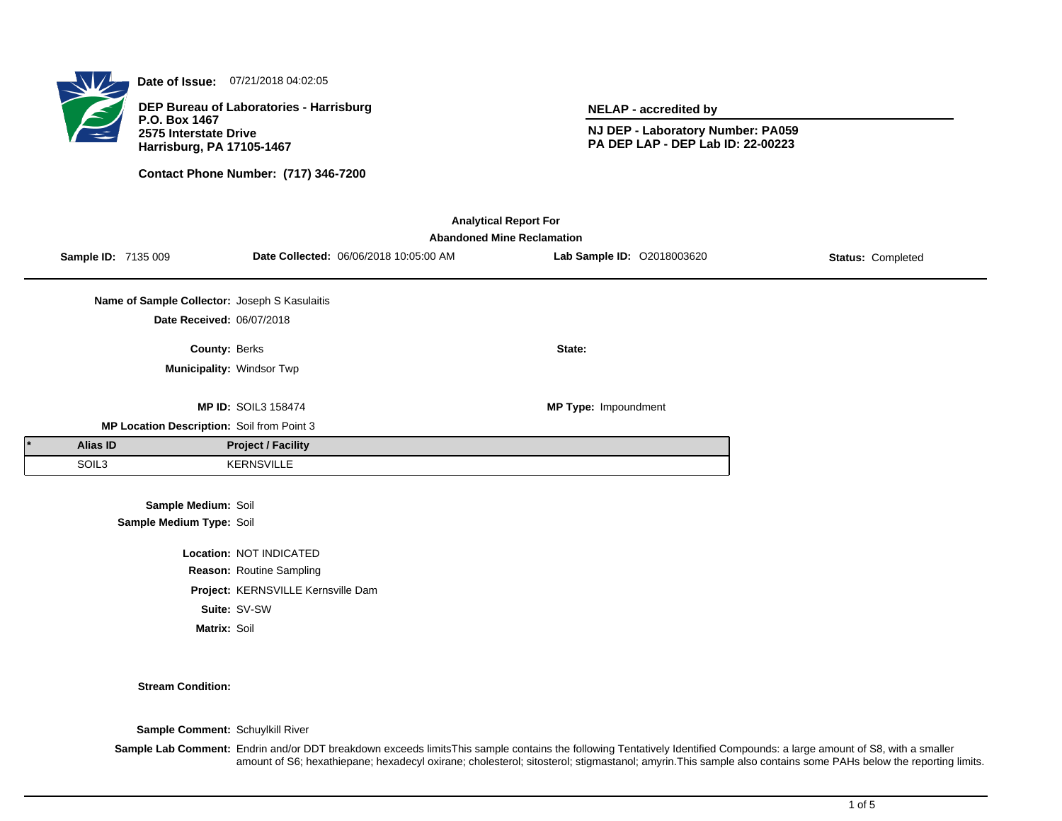**Date of Issue:** 07/21/2018 04:02:05

**DEP Bureau of Laboratories - Harrisburg P.O. Box 1467 2575 Interstate Drive Harrisburg, PA 17105-1467**

**Contact Phone Number: (717) 346-7200**

**NELAP - accredited by**

**NJ DEP - Laboratory Number: PA059 PA DEP LAP - DEP Lab ID: 22-00223**

| <b>Analytical Report For</b> |                     |                                               |                                    |                                        |                                                                 |                   |  |
|------------------------------|---------------------|-----------------------------------------------|------------------------------------|----------------------------------------|-----------------------------------------------------------------|-------------------|--|
|                              | Sample ID: 7135 009 |                                               |                                    | Date Collected: 06/06/2018 10:05:00 AM | <b>Abandoned Mine Reclamation</b><br>Lab Sample ID: 02018003620 | Status: Completed |  |
|                              |                     |                                               |                                    |                                        |                                                                 |                   |  |
|                              |                     | Name of Sample Collector: Joseph S Kasulaitis |                                    |                                        |                                                                 |                   |  |
|                              |                     | Date Received: 06/07/2018                     |                                    |                                        |                                                                 |                   |  |
|                              |                     | County: Berks                                 |                                    |                                        | State:                                                          |                   |  |
|                              |                     |                                               | Municipality: Windsor Twp          |                                        |                                                                 |                   |  |
|                              |                     |                                               | <b>MP ID: SOIL3 158474</b>         |                                        | MP Type: Impoundment                                            |                   |  |
|                              |                     | MP Location Description: Soil from Point 3    |                                    |                                        |                                                                 |                   |  |
|                              | <b>Alias ID</b>     |                                               | <b>Project / Facility</b>          |                                        |                                                                 |                   |  |
|                              | SOIL3               |                                               | <b>KERNSVILLE</b>                  |                                        |                                                                 |                   |  |
|                              |                     | Sample Medium: Soil                           |                                    |                                        |                                                                 |                   |  |
|                              |                     | Sample Medium Type: Soil                      |                                    |                                        |                                                                 |                   |  |
|                              |                     |                                               | Location: NOT INDICATED            |                                        |                                                                 |                   |  |
|                              |                     |                                               | Reason: Routine Sampling           |                                        |                                                                 |                   |  |
|                              |                     |                                               | Project: KERNSVILLE Kernsville Dam |                                        |                                                                 |                   |  |

**Suite:** SV-SW

**Matrix:** Soil

**Stream Condition:**

**Sample Comment:** Schuylkill River

**Sample Lab Comment:** Endrin and/or DDT breakdown exceeds limitsThis sample contains the following Tentatively Identified Compounds: a large amount of S8, with a smaller amount of S6; hexathiepane; hexadecyl oxirane; cholesterol; sitosterol; stigmastanol; amyrin.This sample also contains some PAHs below the reporting limits.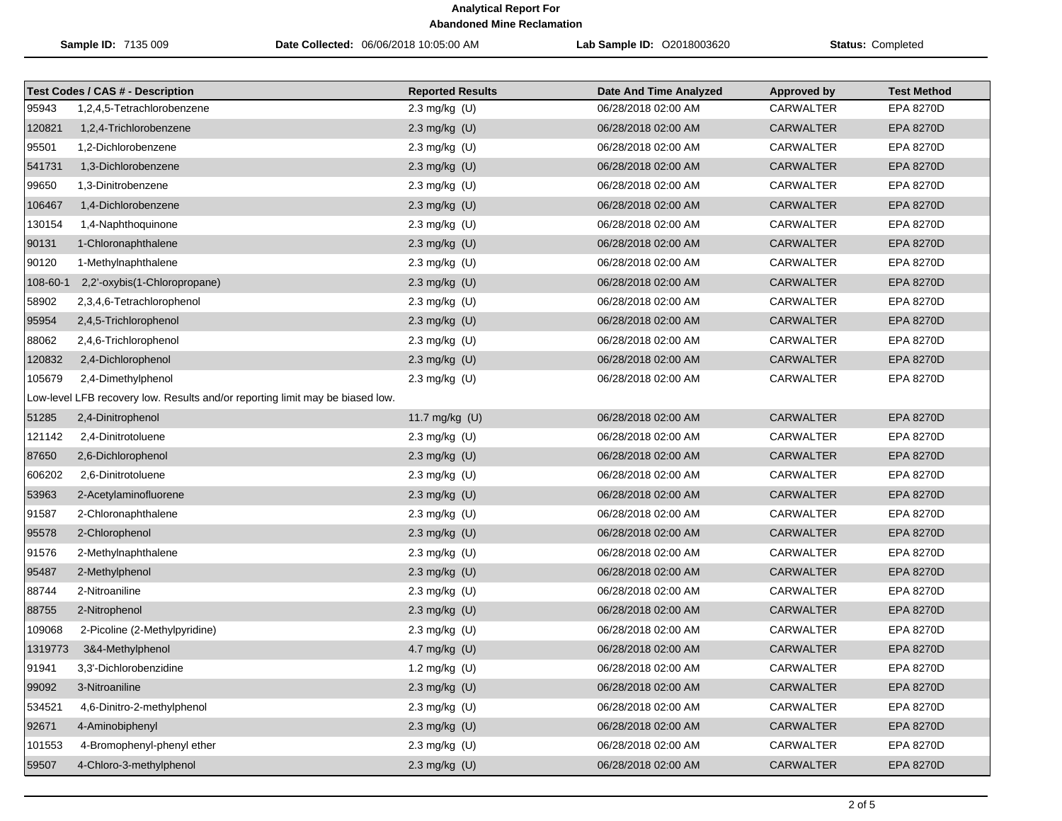| Sample ID: 7135 009 |                                                                               | Date Collected: 06/06/2018 10:05:00 AM | <b>Lab Sample ID: 02018003620</b> | <b>Status: Completed</b> |                    |
|---------------------|-------------------------------------------------------------------------------|----------------------------------------|-----------------------------------|--------------------------|--------------------|
|                     | <b>Test Codes / CAS # - Description</b>                                       | <b>Reported Results</b>                | <b>Date And Time Analyzed</b>     | Approved by              | <b>Test Method</b> |
| 95943               | 1,2,4,5-Tetrachlorobenzene                                                    | 2.3 mg/kg (U)                          | 06/28/2018 02:00 AM               | <b>CARWALTER</b>         | EPA 8270D          |
| 120821              | 1,2,4-Trichlorobenzene                                                        | 2.3 mg/kg $(U)$                        | 06/28/2018 02:00 AM               | <b>CARWALTER</b>         | <b>EPA 8270D</b>   |
| 95501               | 1,2-Dichlorobenzene                                                           | 2.3 mg/kg $(U)$                        | 06/28/2018 02:00 AM               | <b>CARWALTER</b>         | EPA 8270D          |
| 541731              | 1,3-Dichlorobenzene                                                           | 2.3 mg/kg (U)                          | 06/28/2018 02:00 AM               | <b>CARWALTER</b>         | <b>EPA 8270D</b>   |
| 99650               | 1,3-Dinitrobenzene                                                            | 2.3 mg/kg (U)                          | 06/28/2018 02:00 AM               | <b>CARWALTER</b>         | EPA 8270D          |
| 106467              | 1,4-Dichlorobenzene                                                           | 2.3 mg/kg (U)                          | 06/28/2018 02:00 AM               | <b>CARWALTER</b>         | <b>EPA 8270D</b>   |
| 130154              | 1,4-Naphthoquinone                                                            | 2.3 mg/kg (U)                          | 06/28/2018 02:00 AM               | CARWALTER                | EPA 8270D          |
| 90131               | 1-Chloronaphthalene                                                           | 2.3 mg/kg (U)                          | 06/28/2018 02:00 AM               | <b>CARWALTER</b>         | <b>EPA 8270D</b>   |
| 90120               | 1-Methylnaphthalene                                                           | 2.3 mg/kg (U)                          | 06/28/2018 02:00 AM               | <b>CARWALTER</b>         | EPA 8270D          |
| 108-60-1            | 2,2'-oxybis(1-Chloropropane)                                                  | 2.3 mg/kg (U)                          | 06/28/2018 02:00 AM               | <b>CARWALTER</b>         | <b>EPA 8270D</b>   |
| 58902               | 2,3,4,6-Tetrachlorophenol                                                     | 2.3 mg/kg (U)                          | 06/28/2018 02:00 AM               | <b>CARWALTER</b>         | EPA 8270D          |
| 95954               | 2,4,5-Trichlorophenol                                                         | 2.3 mg/kg (U)                          | 06/28/2018 02:00 AM               | <b>CARWALTER</b>         | <b>EPA 8270D</b>   |
| 88062               | 2,4,6-Trichlorophenol                                                         | 2.3 mg/kg $(U)$                        | 06/28/2018 02:00 AM               | CARWALTER                | EPA 8270D          |
| 120832              | 2,4-Dichlorophenol                                                            | 2.3 mg/kg (U)                          | 06/28/2018 02:00 AM               | <b>CARWALTER</b>         | <b>EPA 8270D</b>   |
| 105679              | 2,4-Dimethylphenol                                                            | 2.3 mg/kg (U)                          | 06/28/2018 02:00 AM               | CARWALTER                | EPA 8270D          |
|                     | Low-level LFB recovery low. Results and/or reporting limit may be biased low. |                                        |                                   |                          |                    |
| 51285               | 2,4-Dinitrophenol                                                             | 11.7 mg/kg (U)                         | 06/28/2018 02:00 AM               | <b>CARWALTER</b>         | <b>EPA 8270D</b>   |
| 121142              | 2,4-Dinitrotoluene                                                            | 2.3 mg/kg $(U)$                        | 06/28/2018 02:00 AM               | CARWALTER                | EPA 8270D          |
| 87650               | 2,6-Dichlorophenol                                                            | 2.3 mg/kg (U)                          | 06/28/2018 02:00 AM               | <b>CARWALTER</b>         | <b>EPA 8270D</b>   |
| 606202              | 2,6-Dinitrotoluene                                                            | 2.3 mg/kg (U)                          | 06/28/2018 02:00 AM               | <b>CARWALTER</b>         | EPA 8270D          |
| 53963               | 2-Acetylaminofluorene                                                         | 2.3 mg/kg (U)                          | 06/28/2018 02:00 AM               | <b>CARWALTER</b>         | <b>EPA 8270D</b>   |
| 91587               | 2-Chloronaphthalene                                                           | 2.3 mg/kg $(U)$                        | 06/28/2018 02:00 AM               | CARWALTER                | EPA 8270D          |
| 95578               | 2-Chlorophenol                                                                | 2.3 mg/kg (U)                          | 06/28/2018 02:00 AM               | <b>CARWALTER</b>         | <b>EPA 8270D</b>   |
| 91576               | 2-Methylnaphthalene                                                           | 2.3 mg/kg (U)                          | 06/28/2018 02:00 AM               | <b>CARWALTER</b>         | EPA 8270D          |
| 95487               | 2-Methylphenol                                                                | 2.3 mg/kg (U)                          | 06/28/2018 02:00 AM               | <b>CARWALTER</b>         | EPA 8270D          |
| 88744               | 2-Nitroaniline                                                                | 2.3 mg/kg (U)                          | 06/28/2018 02:00 AM               | <b>CARWALTER</b>         | EPA 8270D          |
| 88755               | 2-Nitrophenol                                                                 | 2.3 mg/kg (U)                          | 06/28/2018 02:00 AM               | <b>CARWALTER</b>         | EPA 8270D          |
| 109068              | 2-Picoline (2-Methylpyridine)                                                 | 2.3 mg/kg (U)                          | 06/28/2018 02:00 AM               | <b>CARWALTER</b>         | EPA 8270D          |
| 1319773             | 3&4-Methylphenol                                                              | 4.7 mg/kg (U)                          | 06/28/2018 02:00 AM               | CARWALTER                | <b>EPA 8270D</b>   |
| 91941               | 3,3'-Dichlorobenzidine                                                        | 1.2 mg/kg (U)                          | 06/28/2018 02:00 AM               | CARWALTER                | EPA 8270D          |
| 99092               | 3-Nitroaniline                                                                | 2.3 mg/kg (U)                          | 06/28/2018 02:00 AM               | CARWALTER                | <b>EPA 8270D</b>   |
| 534521              | 4,6-Dinitro-2-methylphenol                                                    | 2.3 mg/kg (U)                          | 06/28/2018 02:00 AM               | <b>CARWALTER</b>         | EPA 8270D          |
| 92671               | 4-Aminobiphenyl                                                               | 2.3 mg/kg (U)                          | 06/28/2018 02:00 AM               | <b>CARWALTER</b>         | EPA 8270D          |
| 101553              | 4-Bromophenyl-phenyl ether                                                    | 2.3 mg/kg (U)                          | 06/28/2018 02:00 AM               | <b>CARWALTER</b>         | EPA 8270D          |
| 59507               | 4-Chloro-3-methylphenol                                                       | 2.3 mg/kg (U)                          | 06/28/2018 02:00 AM               | <b>CARWALTER</b>         | EPA 8270D          |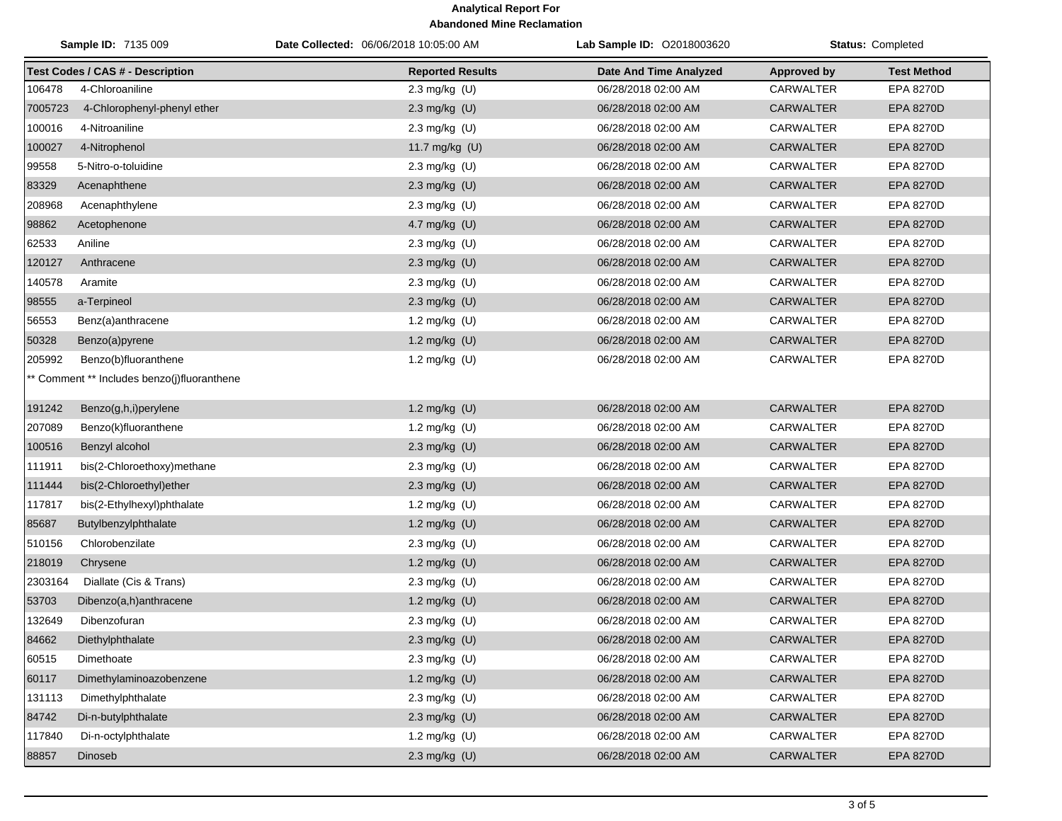| <b>Sample ID: 7135 009</b> |                                             | <b>Date Collected: 06/06/2018 10:05:00 AM</b> | <b>Lab Sample ID: 02018003620</b> | <b>Status: Completed</b> |                    |
|----------------------------|---------------------------------------------|-----------------------------------------------|-----------------------------------|--------------------------|--------------------|
|                            | <b>Test Codes / CAS # - Description</b>     | <b>Reported Results</b>                       | <b>Date And Time Analyzed</b>     | <b>Approved by</b>       | <b>Test Method</b> |
| 106478                     | 4-Chloroaniline                             | 2.3 mg/kg $(U)$                               | 06/28/2018 02:00 AM               | <b>CARWALTER</b>         | EPA 8270D          |
| 7005723                    | 4-Chlorophenyl-phenyl ether                 | 2.3 mg/kg $(U)$                               | 06/28/2018 02:00 AM               | <b>CARWALTER</b>         | <b>EPA 8270D</b>   |
| 100016                     | 4-Nitroaniline                              | 2.3 mg/kg $(U)$                               | 06/28/2018 02:00 AM               | CARWALTER                | EPA 8270D          |
| 100027                     | 4-Nitrophenol                               | 11.7 mg/kg (U)                                | 06/28/2018 02:00 AM               | <b>CARWALTER</b>         | <b>EPA 8270D</b>   |
| 99558                      | 5-Nitro-o-toluidine                         | 2.3 mg/kg (U)                                 | 06/28/2018 02:00 AM               | CARWALTER                | EPA 8270D          |
| 83329                      | Acenaphthene                                | 2.3 mg/kg (U)                                 | 06/28/2018 02:00 AM               | <b>CARWALTER</b>         | <b>EPA 8270D</b>   |
| 208968                     | Acenaphthylene                              | 2.3 mg/kg (U)                                 | 06/28/2018 02:00 AM               | CARWALTER                | EPA 8270D          |
| 98862                      | Acetophenone                                | 4.7 mg/kg (U)                                 | 06/28/2018 02:00 AM               | <b>CARWALTER</b>         | EPA 8270D          |
| 62533                      | Aniline                                     | 2.3 mg/kg (U)                                 | 06/28/2018 02:00 AM               | CARWALTER                | EPA 8270D          |
| 120127                     | Anthracene                                  | 2.3 mg/kg (U)                                 | 06/28/2018 02:00 AM               | <b>CARWALTER</b>         | <b>EPA 8270D</b>   |
| 140578                     | Aramite                                     | 2.3 mg/kg (U)                                 | 06/28/2018 02:00 AM               | CARWALTER                | EPA 8270D          |
| 98555                      | a-Terpineol                                 | 2.3 mg/kg (U)                                 | 06/28/2018 02:00 AM               | <b>CARWALTER</b>         | <b>EPA 8270D</b>   |
| 56553                      | Benz(a)anthracene                           | 1.2 mg/kg (U)                                 | 06/28/2018 02:00 AM               | CARWALTER                | EPA 8270D          |
| 50328                      | Benzo(a)pyrene                              | 1.2 mg/kg (U)                                 | 06/28/2018 02:00 AM               | <b>CARWALTER</b>         | <b>EPA 8270D</b>   |
| 205992                     | Benzo(b)fluoranthene                        | 1.2 mg/kg (U)                                 | 06/28/2018 02:00 AM               | <b>CARWALTER</b>         | EPA 8270D          |
|                            | ** Comment ** Includes benzo(j)fluoranthene |                                               |                                   |                          |                    |
| 191242                     | Benzo(g,h,i)perylene                        | 1.2 mg/kg (U)                                 | 06/28/2018 02:00 AM               | <b>CARWALTER</b>         | <b>EPA 8270D</b>   |
| 207089                     | Benzo(k)fluoranthene                        | 1.2 mg/kg (U)                                 | 06/28/2018 02:00 AM               | CARWALTER                | <b>EPA 8270D</b>   |
| 100516                     | Benzyl alcohol                              | 2.3 mg/kg $(U)$                               | 06/28/2018 02:00 AM               | <b>CARWALTER</b>         | <b>EPA 8270D</b>   |
| 111911                     | bis(2-Chloroethoxy)methane                  | 2.3 mg/kg (U)                                 | 06/28/2018 02:00 AM               | CARWALTER                | EPA 8270D          |
| 111444                     | bis(2-Chloroethyl)ether                     | 2.3 mg/kg (U)                                 | 06/28/2018 02:00 AM               | <b>CARWALTER</b>         | EPA 8270D          |
| 117817                     | bis(2-Ethylhexyl)phthalate                  | 1.2 mg/kg (U)                                 | 06/28/2018 02:00 AM               | CARWALTER                | EPA 8270D          |
| 85687                      | Butylbenzylphthalate                        | 1.2 mg/kg (U)                                 | 06/28/2018 02:00 AM               | <b>CARWALTER</b>         | <b>EPA 8270D</b>   |
| 510156                     | Chlorobenzilate                             | 2.3 mg/kg (U)                                 | 06/28/2018 02:00 AM               | CARWALTER                | <b>EPA 8270D</b>   |
| 218019                     | Chrysene                                    | 1.2 mg/kg (U)                                 | 06/28/2018 02:00 AM               | <b>CARWALTER</b>         | EPA 8270D          |
| 2303164                    | Diallate (Cis & Trans)                      | 2.3 mg/kg (U)                                 | 06/28/2018 02:00 AM               | CARWALTER                | EPA 8270D          |
| 53703                      | Dibenzo(a,h)anthracene                      | 1.2 mg/kg (U)                                 | 06/28/2018 02:00 AM               | <b>CARWALTER</b>         | <b>EPA 8270D</b>   |
| 132649                     | Dibenzofuran                                | 2.3 mg/kg $(U)$                               | 06/28/2018 02:00 AM               | <b>CARWALTER</b>         | <b>EPA 8270D</b>   |
|                            | 84662 Diethylphthalate                      | $2.3$ mg/kg (U)                               | 06/28/2018 02:00 AM               | CARWALTER                | EPA 8270D          |
| 60515                      | Dimethoate                                  | 2.3 mg/kg $(U)$                               | 06/28/2018 02:00 AM               | CARWALTER                | EPA 8270D          |
| 60117                      | Dimethylaminoazobenzene                     | 1.2 mg/kg (U)                                 | 06/28/2018 02:00 AM               | <b>CARWALTER</b>         | EPA 8270D          |
| 131113                     | Dimethylphthalate                           | 2.3 mg/kg (U)                                 | 06/28/2018 02:00 AM               | CARWALTER                | EPA 8270D          |
| 84742                      | Di-n-butylphthalate                         | 2.3 mg/kg (U)                                 | 06/28/2018 02:00 AM               | <b>CARWALTER</b>         | EPA 8270D          |
| 117840                     | Di-n-octylphthalate                         | 1.2 mg/kg (U)                                 | 06/28/2018 02:00 AM               | CARWALTER                | EPA 8270D          |
| 88857                      | Dinoseb                                     | 2.3 mg/kg (U)                                 | 06/28/2018 02:00 AM               | <b>CARWALTER</b>         | EPA 8270D          |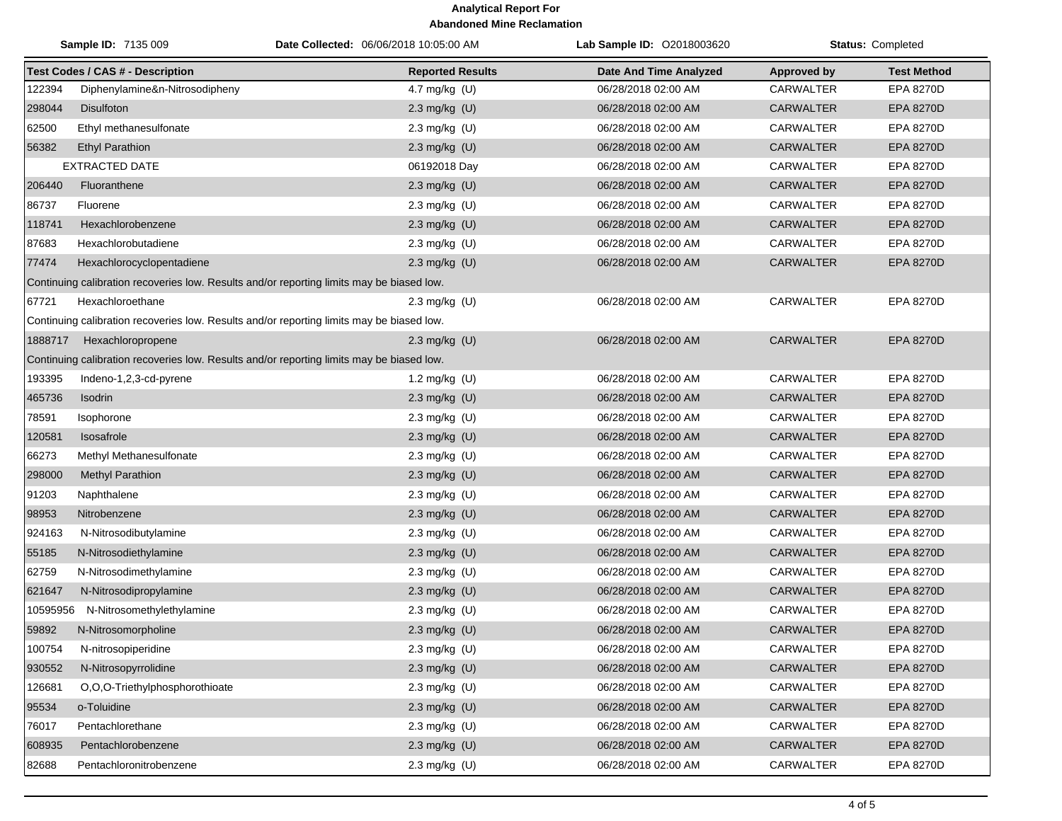|          | <b>Sample ID: 7135 009</b>                                                                | Date Collected: 06/06/2018 10:05:00 AM | Lab Sample ID: 02018003620    |                    | Status: Completed  |
|----------|-------------------------------------------------------------------------------------------|----------------------------------------|-------------------------------|--------------------|--------------------|
|          | <b>Test Codes / CAS # - Description</b>                                                   | <b>Reported Results</b>                | <b>Date And Time Analyzed</b> | <b>Approved by</b> | <b>Test Method</b> |
| 122394   | Diphenylamine&n-Nitrosodipheny                                                            | 4.7 mg/kg (U)                          | 06/28/2018 02:00 AM           | <b>CARWALTER</b>   | EPA 8270D          |
| 298044   | <b>Disulfoton</b>                                                                         | 2.3 mg/kg (U)                          | 06/28/2018 02:00 AM           | <b>CARWALTER</b>   | EPA 8270D          |
| 62500    | Ethyl methanesulfonate                                                                    | 2.3 mg/kg $(U)$                        | 06/28/2018 02:00 AM           | <b>CARWALTER</b>   | <b>EPA 8270D</b>   |
| 56382    | <b>Ethyl Parathion</b>                                                                    | 2.3 mg/kg (U)                          | 06/28/2018 02:00 AM           | <b>CARWALTER</b>   | <b>EPA 8270D</b>   |
|          | <b>EXTRACTED DATE</b>                                                                     | 06192018 Day                           | 06/28/2018 02:00 AM           | <b>CARWALTER</b>   | <b>EPA 8270D</b>   |
| 206440   | Fluoranthene                                                                              | 2.3 mg/kg (U)                          | 06/28/2018 02:00 AM           | <b>CARWALTER</b>   | EPA 8270D          |
| 86737    | Fluorene                                                                                  | 2.3 mg/kg (U)                          | 06/28/2018 02:00 AM           | CARWALTER          | <b>EPA 8270D</b>   |
| 118741   | Hexachlorobenzene                                                                         | 2.3 mg/kg (U)                          | 06/28/2018 02:00 AM           | <b>CARWALTER</b>   | <b>EPA 8270D</b>   |
| 87683    | Hexachlorobutadiene                                                                       | 2.3 mg/kg (U)                          | 06/28/2018 02:00 AM           | <b>CARWALTER</b>   | EPA 8270D          |
| 77474    | Hexachlorocyclopentadiene                                                                 | 2.3 mg/kg (U)                          | 06/28/2018 02:00 AM           | <b>CARWALTER</b>   | <b>EPA 8270D</b>   |
|          | Continuing calibration recoveries low. Results and/or reporting limits may be biased low. |                                        |                               |                    |                    |
| 67721    | Hexachloroethane                                                                          | 2.3 mg/kg $(U)$                        | 06/28/2018 02:00 AM           | <b>CARWALTER</b>   | <b>EPA 8270D</b>   |
|          | Continuing calibration recoveries low. Results and/or reporting limits may be biased low. |                                        |                               |                    |                    |
| 1888717  | Hexachloropropene                                                                         | 2.3 mg/kg $(U)$                        | 06/28/2018 02:00 AM           | <b>CARWALTER</b>   | <b>EPA 8270D</b>   |
|          | Continuing calibration recoveries low. Results and/or reporting limits may be biased low. |                                        |                               |                    |                    |
| 193395   | Indeno-1,2,3-cd-pyrene                                                                    | 1.2 mg/kg $(U)$                        | 06/28/2018 02:00 AM           | <b>CARWALTER</b>   | <b>EPA 8270D</b>   |
| 465736   | Isodrin                                                                                   | 2.3 mg/kg (U)                          | 06/28/2018 02:00 AM           | <b>CARWALTER</b>   | <b>EPA 8270D</b>   |
| 78591    | Isophorone                                                                                | 2.3 mg/kg (U)                          | 06/28/2018 02:00 AM           | <b>CARWALTER</b>   | <b>EPA 8270D</b>   |
| 120581   | Isosafrole                                                                                | 2.3 mg/kg (U)                          | 06/28/2018 02:00 AM           | <b>CARWALTER</b>   | <b>EPA 8270D</b>   |
| 66273    | Methyl Methanesulfonate                                                                   | 2.3 mg/kg (U)                          | 06/28/2018 02:00 AM           | <b>CARWALTER</b>   | <b>EPA 8270D</b>   |
| 298000   | Methyl Parathion                                                                          | 2.3 mg/kg (U)                          | 06/28/2018 02:00 AM           | <b>CARWALTER</b>   | EPA 8270D          |
| 91203    | Naphthalene                                                                               | 2.3 mg/kg (U)                          | 06/28/2018 02:00 AM           | CARWALTER          | EPA 8270D          |
| 98953    | Nitrobenzene                                                                              | 2.3 mg/kg (U)                          | 06/28/2018 02:00 AM           | <b>CARWALTER</b>   | <b>EPA 8270D</b>   |
| 924163   | N-Nitrosodibutylamine                                                                     | 2.3 mg/kg (U)                          | 06/28/2018 02:00 AM           | CARWALTER          | EPA 8270D          |
| 55185    | N-Nitrosodiethylamine                                                                     | 2.3 mg/kg (U)                          | 06/28/2018 02:00 AM           | <b>CARWALTER</b>   | EPA 8270D          |
| 62759    | N-Nitrosodimethylamine                                                                    | 2.3 mg/kg (U)                          | 06/28/2018 02:00 AM           | <b>CARWALTER</b>   | <b>EPA 8270D</b>   |
| 621647   | N-Nitrosodipropylamine                                                                    | 2.3 mg/kg (U)                          | 06/28/2018 02:00 AM           | <b>CARWALTER</b>   | <b>EPA 8270D</b>   |
| 10595956 | N-Nitrosomethylethylamine                                                                 | 2.3 mg/kg (U)                          | 06/28/2018 02:00 AM           | CARWALTER          | EPA 8270D          |
| 59892    | N-Nitrosomorpholine                                                                       | 2.3 mg/kg (U)                          | 06/28/2018 02:00 AM           | <b>CARWALTER</b>   | <b>EPA 8270D</b>   |
| 100754   | N-nitrosopiperidine                                                                       | 2.3 mg/kg (U)                          | 06/28/2018 02:00 AM           | <b>CARWALTER</b>   | EPA 8270D          |
| 930552   | N-Nitrosopyrrolidine                                                                      | 2.3 mg/kg (U)                          | 06/28/2018 02:00 AM           | CARWALTER          | EPA 8270D          |
| 126681   | O.O.O-Triethylphosphorothioate                                                            | 2.3 mg/kg (U)                          | 06/28/2018 02:00 AM           | CARWALTER          | EPA 8270D          |
| 95534    | o-Toluidine                                                                               | 2.3 mg/kg (U)                          | 06/28/2018 02:00 AM           | CARWALTER          | EPA 8270D          |
| 76017    | Pentachlorethane                                                                          | 2.3 mg/kg (U)                          | 06/28/2018 02:00 AM           | CARWALTER          | EPA 8270D          |
| 608935   | Pentachlorobenzene                                                                        | 2.3 mg/kg (U)                          | 06/28/2018 02:00 AM           | CARWALTER          | EPA 8270D          |
| 82688    | Pentachloronitrobenzene                                                                   | 2.3 mg/kg (U)                          | 06/28/2018 02:00 AM           | <b>CARWALTER</b>   | EPA 8270D          |